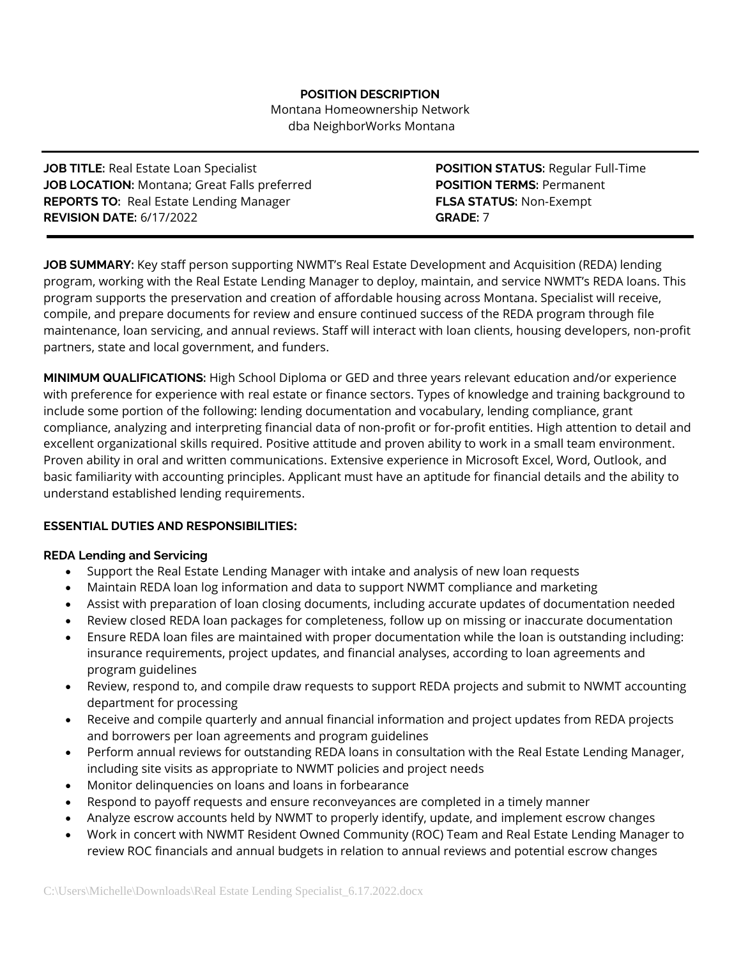## **POSITION DESCRIPTION**

Montana Homeownership Network dba NeighborWorks Montana

**JOB TITLE:** Real Estate Loan Specialist **POSITION STATUS:** Regular Full-Time **JOB LOCATION:** Montana; Great Falls preferred **POSITION TERMS:** Permanent **REPORTS TO:** Real Estate Lending Manager **FLSA STATUS:** Non-Exempt **REVISION DATE:** 6/17/2022 **GRADE:** 7

**JOB SUMMARY:** Key staff person supporting NWMT's Real Estate Development and Acquisition (REDA) lending program, working with the Real Estate Lending Manager to deploy, maintain, and service NWMT's REDA loans. This program supports the preservation and creation of affordable housing across Montana. Specialist will receive, compile, and prepare documents for review and ensure continued success of the REDA program through file maintenance, loan servicing, and annual reviews. Staff will interact with loan clients, housing developers, non-profit partners, state and local government, and funders.

**MINIMUM QUALIFICATIONS:** High School Diploma or GED and three years relevant education and/or experience with preference for experience with real estate or finance sectors. Types of knowledge and training background to include some portion of the following: lending documentation and vocabulary, lending compliance, grant compliance, analyzing and interpreting financial data of non-profit or for-profit entities. High attention to detail and excellent organizational skills required. Positive attitude and proven ability to work in a small team environment. Proven ability in oral and written communications. Extensive experience in Microsoft Excel, Word, Outlook, and basic familiarity with accounting principles. Applicant must have an aptitude for financial details and the ability to understand established lending requirements.

# **ESSENTIAL DUTIES AND RESPONSIBILITIES:**

## **REDA Lending and Servicing**

- Support the Real Estate Lending Manager with intake and analysis of new loan requests
- Maintain REDA loan log information and data to support NWMT compliance and marketing
- Assist with preparation of loan closing documents, including accurate updates of documentation needed
- Review closed REDA loan packages for completeness, follow up on missing or inaccurate documentation
- Ensure REDA loan files are maintained with proper documentation while the loan is outstanding including: insurance requirements, project updates, and financial analyses, according to loan agreements and program guidelines
- Review, respond to, and compile draw requests to support REDA projects and submit to NWMT accounting department for processing
- Receive and compile quarterly and annual financial information and project updates from REDA projects and borrowers per loan agreements and program guidelines
- Perform annual reviews for outstanding REDA loans in consultation with the Real Estate Lending Manager, including site visits as appropriate to NWMT policies and project needs
- Monitor delinquencies on loans and loans in forbearance
- Respond to payoff requests and ensure reconveyances are completed in a timely manner
- Analyze escrow accounts held by NWMT to properly identify, update, and implement escrow changes
- Work in concert with NWMT Resident Owned Community (ROC) Team and Real Estate Lending Manager to review ROC financials and annual budgets in relation to annual reviews and potential escrow changes